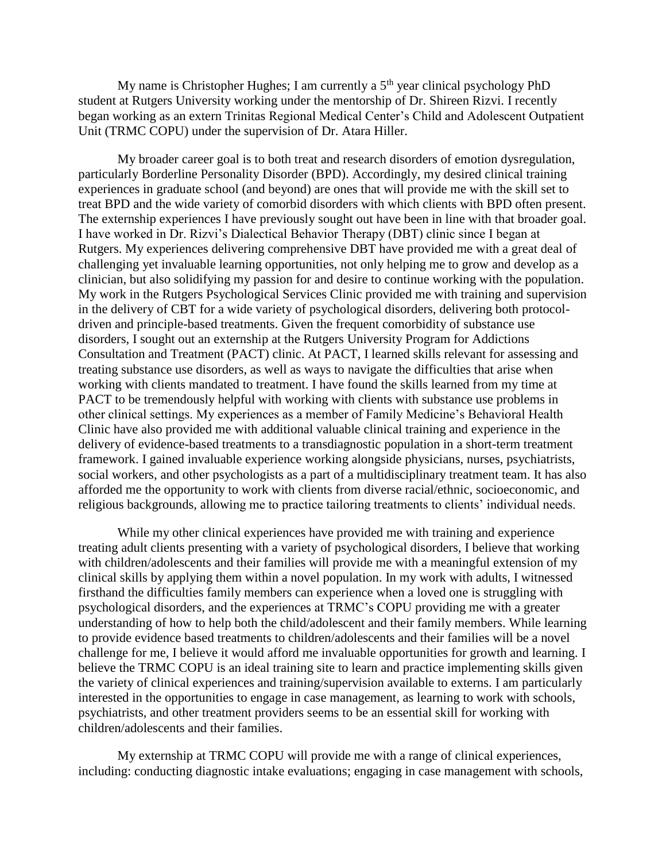My name is Christopher Hughes; I am currently a  $5<sup>th</sup>$  year clinical psychology PhD student at Rutgers University working under the mentorship of Dr. Shireen Rizvi. I recently began working as an extern Trinitas Regional Medical Center's Child and Adolescent Outpatient Unit (TRMC COPU) under the supervision of Dr. Atara Hiller.

My broader career goal is to both treat and research disorders of emotion dysregulation, particularly Borderline Personality Disorder (BPD). Accordingly, my desired clinical training experiences in graduate school (and beyond) are ones that will provide me with the skill set to treat BPD and the wide variety of comorbid disorders with which clients with BPD often present. The externship experiences I have previously sought out have been in line with that broader goal. I have worked in Dr. Rizvi's Dialectical Behavior Therapy (DBT) clinic since I began at Rutgers. My experiences delivering comprehensive DBT have provided me with a great deal of challenging yet invaluable learning opportunities, not only helping me to grow and develop as a clinician, but also solidifying my passion for and desire to continue working with the population. My work in the Rutgers Psychological Services Clinic provided me with training and supervision in the delivery of CBT for a wide variety of psychological disorders, delivering both protocoldriven and principle-based treatments. Given the frequent comorbidity of substance use disorders, I sought out an externship at the Rutgers University Program for Addictions Consultation and Treatment (PACT) clinic. At PACT, I learned skills relevant for assessing and treating substance use disorders, as well as ways to navigate the difficulties that arise when working with clients mandated to treatment. I have found the skills learned from my time at PACT to be tremendously helpful with working with clients with substance use problems in other clinical settings. My experiences as a member of Family Medicine's Behavioral Health Clinic have also provided me with additional valuable clinical training and experience in the delivery of evidence-based treatments to a transdiagnostic population in a short-term treatment framework. I gained invaluable experience working alongside physicians, nurses, psychiatrists, social workers, and other psychologists as a part of a multidisciplinary treatment team. It has also afforded me the opportunity to work with clients from diverse racial/ethnic, socioeconomic, and religious backgrounds, allowing me to practice tailoring treatments to clients' individual needs.

While my other clinical experiences have provided me with training and experience treating adult clients presenting with a variety of psychological disorders, I believe that working with children/adolescents and their families will provide me with a meaningful extension of my clinical skills by applying them within a novel population. In my work with adults, I witnessed firsthand the difficulties family members can experience when a loved one is struggling with psychological disorders, and the experiences at TRMC's COPU providing me with a greater understanding of how to help both the child/adolescent and their family members. While learning to provide evidence based treatments to children/adolescents and their families will be a novel challenge for me, I believe it would afford me invaluable opportunities for growth and learning. I believe the TRMC COPU is an ideal training site to learn and practice implementing skills given the variety of clinical experiences and training/supervision available to externs. I am particularly interested in the opportunities to engage in case management, as learning to work with schools, psychiatrists, and other treatment providers seems to be an essential skill for working with children/adolescents and their families.

My externship at TRMC COPU will provide me with a range of clinical experiences, including: conducting diagnostic intake evaluations; engaging in case management with schools,